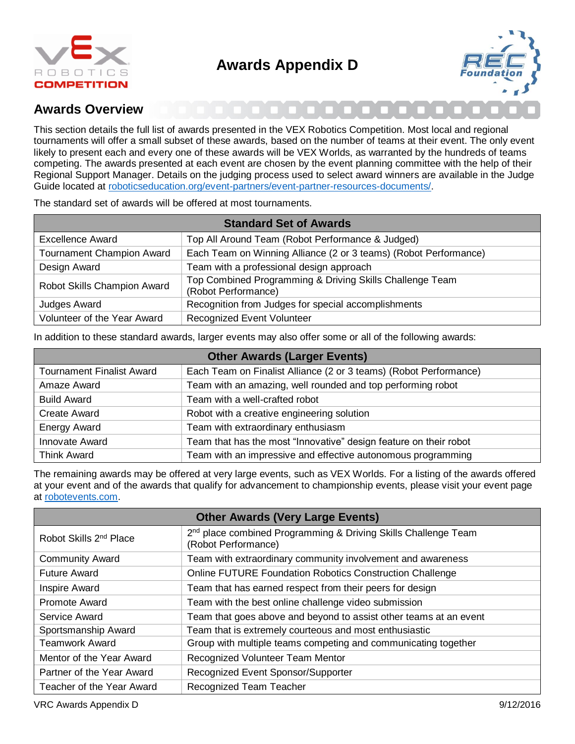

# **Awards Appendix D**



### **Awards Overview**

This section details the full list of awards presented in the VEX Robotics Competition. Most local and regional tournaments will offer a small subset of these awards, based on the number of teams at their event. The only event likely to present each and every one of these awards will be VEX Worlds, as warranted by the hundreds of teams competing. The awards presented at each event are chosen by the event planning committee with the help of their Regional Support Manager. Details on the judging process used to select award winners are available in the Judge Guide located at [roboticseducation.org/event-partners/event-partner-resources-documents/.](http://www.roboticseducation.org/event-partners/event-partner-resources-documents/)

The standard set of awards will be offered at most tournaments.

| <b>Standard Set of Awards</b>    |                                                                                 |
|----------------------------------|---------------------------------------------------------------------------------|
| Excellence Award                 | Top All Around Team (Robot Performance & Judged)                                |
| <b>Tournament Champion Award</b> | Each Team on Winning Alliance (2 or 3 teams) (Robot Performance)                |
| Design Award                     | Team with a professional design approach                                        |
| Robot Skills Champion Award      | Top Combined Programming & Driving Skills Challenge Team<br>(Robot Performance) |
| Judges Award                     | Recognition from Judges for special accomplishments                             |
| Volunteer of the Year Award      | <b>Recognized Event Volunteer</b>                                               |

In addition to these standard awards, larger events may also offer some or all of the following awards:

| <b>Other Awards (Larger Events)</b> |                                                                   |  |
|-------------------------------------|-------------------------------------------------------------------|--|
| <b>Tournament Finalist Award</b>    | Each Team on Finalist Alliance (2 or 3 teams) (Robot Performance) |  |
| Amaze Award                         | Team with an amazing, well rounded and top performing robot       |  |
| <b>Build Award</b>                  | Team with a well-crafted robot                                    |  |
| <b>Create Award</b>                 | Robot with a creative engineering solution                        |  |
| <b>Energy Award</b>                 | Team with extraordinary enthusiasm                                |  |
| Innovate Award                      | Team that has the most "Innovative" design feature on their robot |  |
| <b>Think Award</b>                  | Team with an impressive and effective autonomous programming      |  |

The remaining awards may be offered at very large events, such as VEX Worlds. For a listing of the awards offered at your event and of the awards that qualify for advancement to championship events, please visit your event page at [robotevents.com.](http://www.robotevents.com/)

| <b>Other Awards (Very Large Events)</b> |                                                                                                   |
|-----------------------------------------|---------------------------------------------------------------------------------------------------|
| Robot Skills 2 <sup>nd</sup> Place      | 2 <sup>nd</sup> place combined Programming & Driving Skills Challenge Team<br>(Robot Performance) |
| <b>Community Award</b>                  | Team with extraordinary community involvement and awareness                                       |
| <b>Future Award</b>                     | Online FUTURE Foundation Robotics Construction Challenge                                          |
| <b>Inspire Award</b>                    | Team that has earned respect from their peers for design                                          |
| <b>Promote Award</b>                    | Team with the best online challenge video submission                                              |
| Service Award                           | Team that goes above and beyond to assist other teams at an event                                 |
| Sportsmanship Award                     | Team that is extremely courteous and most enthusiastic                                            |
| <b>Teamwork Award</b>                   | Group with multiple teams competing and communicating together                                    |
| Mentor of the Year Award                | Recognized Volunteer Team Mentor                                                                  |
| Partner of the Year Award               | Recognized Event Sponsor/Supporter                                                                |
| Teacher of the Year Award               | Recognized Team Teacher                                                                           |

VRC Awards Appendix D 9/12/2016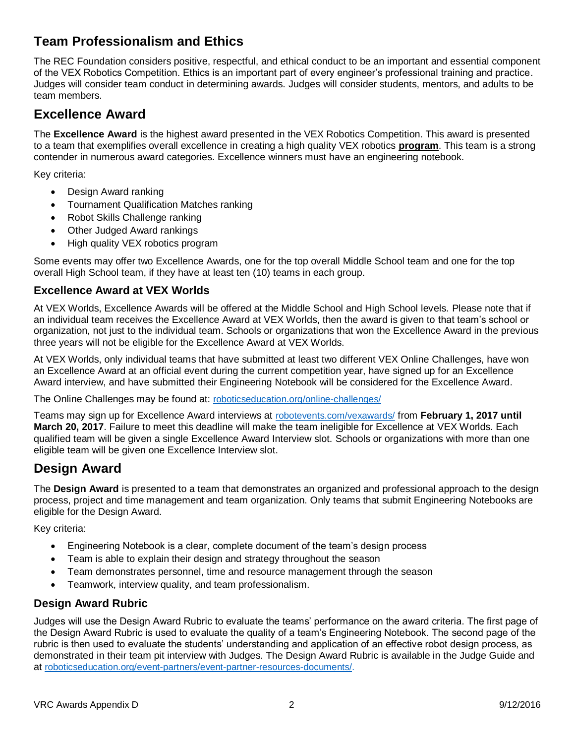# **Team Professionalism and Ethics**

The REC Foundation considers positive, respectful, and ethical conduct to be an important and essential component of the VEX Robotics Competition. Ethics is an important part of every engineer's professional training and practice. Judges will consider team conduct in determining awards. Judges will consider students, mentors, and adults to be team members.

# **Excellence Award**

The **Excellence Award** is the highest award presented in the VEX Robotics Competition. This award is presented to a team that exemplifies overall excellence in creating a high quality VEX robotics **program**. This team is a strong contender in numerous award categories. Excellence winners must have an engineering notebook.

Key criteria:

- Design Award ranking
- Tournament Qualification Matches ranking
- Robot Skills Challenge ranking
- Other Judged Award rankings
- High quality VEX robotics program

Some events may offer two Excellence Awards, one for the top overall Middle School team and one for the top overall High School team, if they have at least ten (10) teams in each group.

#### **Excellence Award at VEX Worlds**

At VEX Worlds, Excellence Awards will be offered at the Middle School and High School levels. Please note that if an individual team receives the Excellence Award at VEX Worlds, then the award is given to that team's school or organization, not just to the individual team. Schools or organizations that won the Excellence Award in the previous three years will not be eligible for the Excellence Award at VEX Worlds.

At VEX Worlds, only individual teams that have submitted at least two different VEX Online Challenges, have won an Excellence Award at an official event during the current competition year, have signed up for an Excellence Award interview, and have submitted their Engineering Notebook will be considered for the Excellence Award.

The Online Challenges may be found at: [roboticseducation.org/online-challenges/](http://www.roboticseducation.org/online-challenges/)

Teams may sign up for Excellence Award interviews at [robotevents.com/vexawards/](http://www.robotevents.com/vexawards/) from **February 1, 2017 until March 20, 2017**. Failure to meet this deadline will make the team ineligible for Excellence at VEX Worlds. Each qualified team will be given a single Excellence Award Interview slot. Schools or organizations with more than one eligible team will be given one Excellence Interview slot.

# **Design Award**

The **Design Award** is presented to a team that demonstrates an organized and professional approach to the design process, project and time management and team organization. Only teams that submit Engineering Notebooks are eligible for the Design Award.

Key criteria:

- Engineering Notebook is a clear, complete document of the team's design process
- Team is able to explain their design and strategy throughout the season
- Team demonstrates personnel, time and resource management through the season
- Teamwork, interview quality, and team professionalism.

#### **Design Award Rubric**

Judges will use the Design Award Rubric to evaluate the teams' performance on the award criteria. The first page of the Design Award Rubric is used to evaluate the quality of a team's Engineering Notebook. The second page of the rubric is then used to evaluate the students' understanding and application of an effective robot design process, as demonstrated in their team pit interview with Judges. The Design Award Rubric is available in the Judge Guide and at [roboticseducation.org/event-partners/event-partner-resources-documents/.](http://www.roboticseducation.org/event-partners/event-partner-resources-documents/)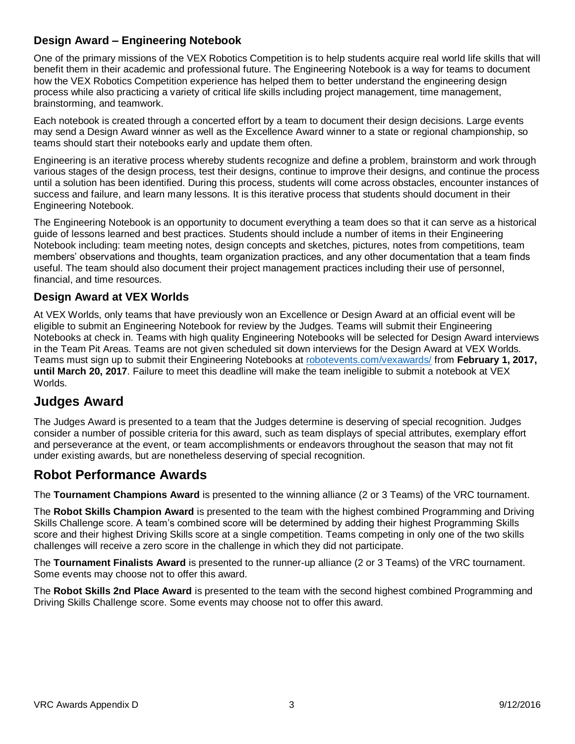### **Design Award – Engineering Notebook**

One of the primary missions of the VEX Robotics Competition is to help students acquire real world life skills that will benefit them in their academic and professional future. The Engineering Notebook is a way for teams to document how the VEX Robotics Competition experience has helped them to better understand the engineering design process while also practicing a variety of critical life skills including project management, time management, brainstorming, and teamwork.

Each notebook is created through a concerted effort by a team to document their design decisions. Large events may send a Design Award winner as well as the Excellence Award winner to a state or regional championship, so teams should start their notebooks early and update them often.

Engineering is an iterative process whereby students recognize and define a problem, brainstorm and work through various stages of the design process, test their designs, continue to improve their designs, and continue the process until a solution has been identified. During this process, students will come across obstacles, encounter instances of success and failure, and learn many lessons. It is this iterative process that students should document in their Engineering Notebook.

The Engineering Notebook is an opportunity to document everything a team does so that it can serve as a historical guide of lessons learned and best practices. Students should include a number of items in their Engineering Notebook including: team meeting notes, design concepts and sketches, pictures, notes from competitions, team members' observations and thoughts, team organization practices, and any other documentation that a team finds useful. The team should also document their project management practices including their use of personnel, financial, and time resources.

#### **Design Award at VEX Worlds**

At VEX Worlds, only teams that have previously won an Excellence or Design Award at an official event will be eligible to submit an Engineering Notebook for review by the Judges. Teams will submit their Engineering Notebooks at check in. Teams with high quality Engineering Notebooks will be selected for Design Award interviews in the Team Pit Areas. Teams are not given scheduled sit down interviews for the Design Award at VEX Worlds. Teams must sign up to submit their Engineering Notebooks at [robotevents.com/vexawards/](http://www.robotevents.com/vexawards/) from **February 1, 2017, until March 20, 2017**. Failure to meet this deadline will make the team ineligible to submit a notebook at VEX Worlds.

# **Judges Award**

The Judges Award is presented to a team that the Judges determine is deserving of special recognition. Judges consider a number of possible criteria for this award, such as team displays of special attributes, exemplary effort and perseverance at the event, or team accomplishments or endeavors throughout the season that may not fit under existing awards, but are nonetheless deserving of special recognition.

### **Robot Performance Awards**

The **Tournament Champions Award** is presented to the winning alliance (2 or 3 Teams) of the VRC tournament.

The **Robot Skills Champion Award** is presented to the team with the highest combined Programming and Driving Skills Challenge score. A team's combined score will be determined by adding their highest Programming Skills score and their highest Driving Skills score at a single competition. Teams competing in only one of the two skills challenges will receive a zero score in the challenge in which they did not participate.

The **Tournament Finalists Award** is presented to the runner-up alliance (2 or 3 Teams) of the VRC tournament. Some events may choose not to offer this award.

The **Robot Skills 2nd Place Award** is presented to the team with the second highest combined Programming and Driving Skills Challenge score. Some events may choose not to offer this award.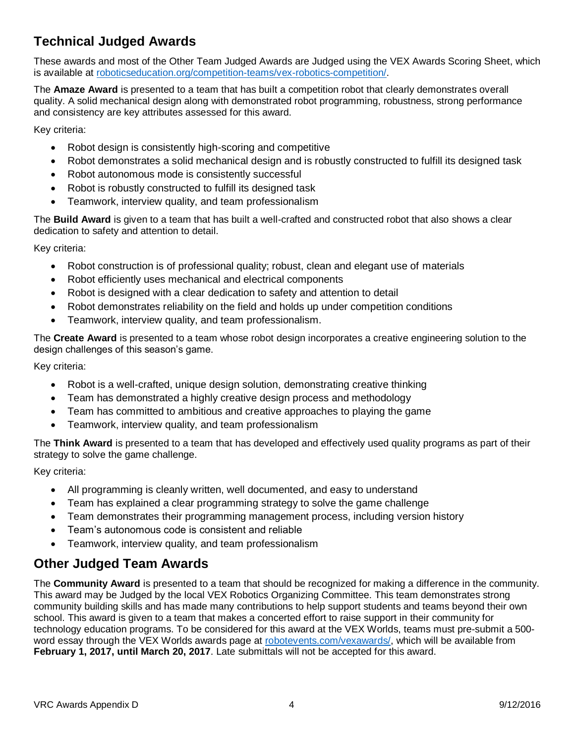# **Technical Judged Awards**

These awards and most of the Other Team Judged Awards are Judged using the VEX Awards Scoring Sheet, which is available at [roboticseducation.org/competition-teams/vex-robotics-competition/.](http://www.roboticseducation.org/competition-teams/vex-robotics-competition/)

The **Amaze Award** is presented to a team that has built a competition robot that clearly demonstrates overall quality. A solid mechanical design along with demonstrated robot programming, robustness, strong performance and consistency are key attributes assessed for this award.

Key criteria:

- Robot design is consistently high-scoring and competitive
- Robot demonstrates a solid mechanical design and is robustly constructed to fulfill its designed task
- Robot autonomous mode is consistently successful
- Robot is robustly constructed to fulfill its designed task
- Teamwork, interview quality, and team professionalism

The **Build Award** is given to a team that has built a well-crafted and constructed robot that also shows a clear dedication to safety and attention to detail.

Key criteria:

- Robot construction is of professional quality; robust, clean and elegant use of materials
- Robot efficiently uses mechanical and electrical components
- Robot is designed with a clear dedication to safety and attention to detail
- Robot demonstrates reliability on the field and holds up under competition conditions
- Teamwork, interview quality, and team professionalism.

The **Create Award** is presented to a team whose robot design incorporates a creative engineering solution to the design challenges of this season's game.

Key criteria:

- Robot is a well-crafted, unique design solution, demonstrating creative thinking
- Team has demonstrated a highly creative design process and methodology
- Team has committed to ambitious and creative approaches to playing the game
- Teamwork, interview quality, and team professionalism

The **Think Award** is presented to a team that has developed and effectively used quality programs as part of their strategy to solve the game challenge.

Key criteria:

- All programming is cleanly written, well documented, and easy to understand
- Team has explained a clear programming strategy to solve the game challenge
- Team demonstrates their programming management process, including version history
- Team's autonomous code is consistent and reliable
- Teamwork, interview quality, and team professionalism

# **Other Judged Team Awards**

The **Community Award** is presented to a team that should be recognized for making a difference in the community. This award may be Judged by the local VEX Robotics Organizing Committee. This team demonstrates strong community building skills and has made many contributions to help support students and teams beyond their own school. This award is given to a team that makes a concerted effort to raise support in their community for technology education programs. To be considered for this award at the VEX Worlds, teams must pre-submit a 500 word essay through the VEX Worlds awards page at [robotevents.com/vexawards/,](http://www.robotevents.com/vexawards/) which will be available from **February 1, 2017, until March 20, 2017**. Late submittals will not be accepted for this award.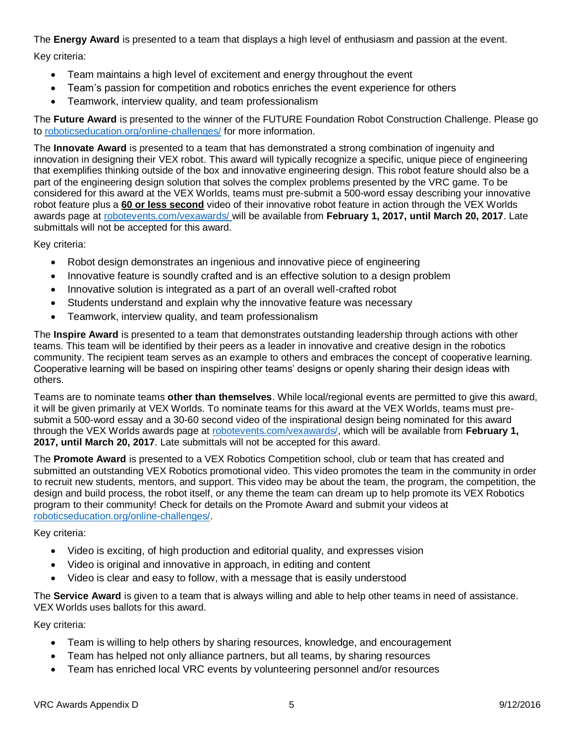The **Energy Award** is presented to a team that displays a high level of enthusiasm and passion at the event.

Key criteria:

- Team maintains a high level of excitement and energy throughout the event
- Team's passion for competition and robotics enriches the event experience for others
- Teamwork, interview quality, and team professionalism

The **Future Award** is presented to the winner of the FUTURE Foundation Robot Construction Challenge. Please go to [roboticseducation.org/online-challenges/](http://www.roboticseducation.org/online-challenges/) for more information.

The **Innovate Award** is presented to a team that has demonstrated a strong combination of ingenuity and innovation in designing their VEX robot. This award will typically recognize a specific, unique piece of engineering that exemplifies thinking outside of the box and innovative engineering design. This robot feature should also be a part of the engineering design solution that solves the complex problems presented by the VRC game. To be considered for this award at the VEX Worlds, teams must pre-submit a 500-word essay describing your innovative robot feature plus a **60 or less second** video of their innovative robot feature in action through the VEX Worlds awards page at [robotevents.com/vexawards/](http://www.robotevents.com/vexawards/) will be available from **February 1, 2017, until March 20, 2017**. Late submittals will not be accepted for this award.

Key criteria:

- Robot design demonstrates an ingenious and innovative piece of engineering
- Innovative feature is soundly crafted and is an effective solution to a design problem
- Innovative solution is integrated as a part of an overall well-crafted robot
- Students understand and explain why the innovative feature was necessary
- Teamwork, interview quality, and team professionalism

The **Inspire Award** is presented to a team that demonstrates outstanding leadership through actions with other teams. This team will be identified by their peers as a leader in innovative and creative design in the robotics community. The recipient team serves as an example to others and embraces the concept of cooperative learning. Cooperative learning will be based on inspiring other teams' designs or openly sharing their design ideas with others.

Teams are to nominate teams **other than themselves**. While local/regional events are permitted to give this award, it will be given primarily at VEX Worlds. To nominate teams for this award at the VEX Worlds, teams must presubmit a 500-word essay and a 30-60 second video of the inspirational design being nominated for this award through the VEX Worlds awards page at [robotevents.com/vexawards/,](http://www.robotevents.com/vexawards/) which will be available from **February 1, 2017, until March 20, 2017**. Late submittals will not be accepted for this award.

The **Promote Award** is presented to a VEX Robotics Competition school, club or team that has created and submitted an outstanding VEX Robotics promotional video. This video promotes the team in the community in order to recruit new students, mentors, and support. This video may be about the team, the program, the competition, the design and build process, the robot itself, or any theme the team can dream up to help promote its VEX Robotics program to their community! Check for details on the Promote Award and submit your videos at [roboticseducation.org/online-challenges/.](http://www.roboticseducation.org/online-challenges/)

Key criteria:

- Video is exciting, of high production and editorial quality, and expresses vision
- Video is original and innovative in approach, in editing and content
- Video is clear and easy to follow, with a message that is easily understood

The **Service Award** is given to a team that is always willing and able to help other teams in need of assistance. VEX Worlds uses ballots for this award.

Key criteria:

- Team is willing to help others by sharing resources, knowledge, and encouragement
- Team has helped not only alliance partners, but all teams, by sharing resources
- Team has enriched local VRC events by volunteering personnel and/or resources